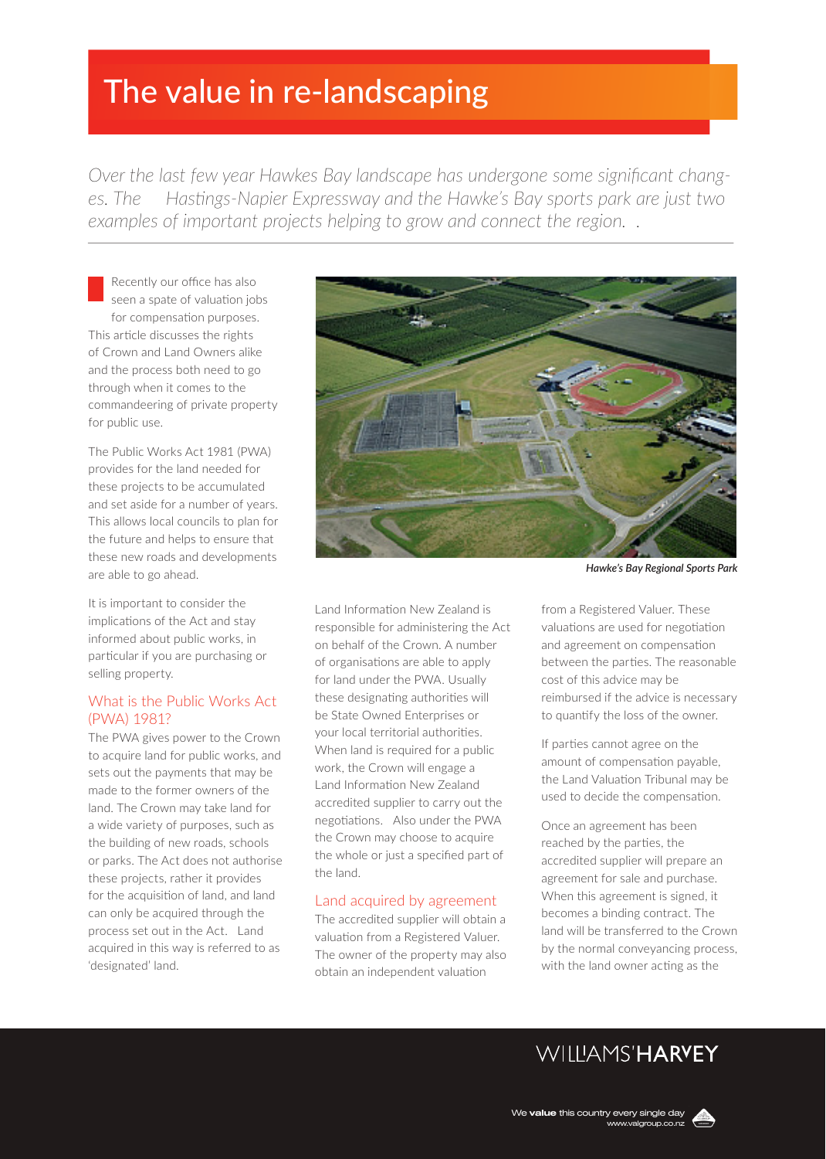# The value in re-landscaping

*Over the last few year Hawkes Bay landscape has undergone some significant changes. The Hastings-Napier Expressway and the Hawke's Bay sports park are just two examples of important projects helping to grow and connect the region. .*

Recently our office has also seen a spate of valuation jobs for compensation purposes. This article discusses the rights of Crown and Land Owners alike and the process both need to go through when it comes to the commandeering of private property for public use.

The Public Works Act 1981 (PWA) provides for the land needed for these projects to be accumulated and set aside for a number of years. This allows local councils to plan for the future and helps to ensure that these new roads and developments are able to go ahead.

It is important to consider the implications of the Act and stay informed about public works, in particular if you are purchasing or selling property.

### What is the Public Works Act (PWA) 1981?

The PWA gives power to the Crown to acquire land for public works, and sets out the payments that may be made to the former owners of the land. The Crown may take land for a wide variety of purposes, such as the building of new roads, schools or parks. The Act does not authorise these projects, rather it provides for the acquisition of land, and land can only be acquired through the process set out in the Act. Land acquired in this way is referred to as 'designated' land.



Land Information New Zealand is responsible for administering the Act on behalf of the Crown. A number of organisations are able to apply for land under the PWA. Usually these designating authorities will be State Owned Enterprises or your local territorial authorities. When land is required for a public work, the Crown will engage a Land Information New Zealand accredited supplier to carry out the negotiations. Also under the PWA the Crown may choose to acquire the whole or just a specified part of the land.

#### Land acquired by agreement

The accredited supplier will obtain a valuation from a Registered Valuer. The owner of the property may also obtain an independent valuation

*Hawke's Bay Regional Sports Park*

from a Registered Valuer. These valuations are used for negotiation and agreement on compensation between the parties. The reasonable cost of this advice may be reimbursed if the advice is necessary to quantify the loss of the owner.

If parties cannot agree on the amount of compensation payable, the Land Valuation Tribunal may be used to decide the compensation.

Once an agreement has been reached by the parties, the accredited supplier will prepare an agreement for sale and purchase. When this agreement is signed, it becomes a binding contract. The land will be transferred to the Crown by the normal conveyancing process, with the land owner acting as the

# **WILLIAMS'HARYEY**